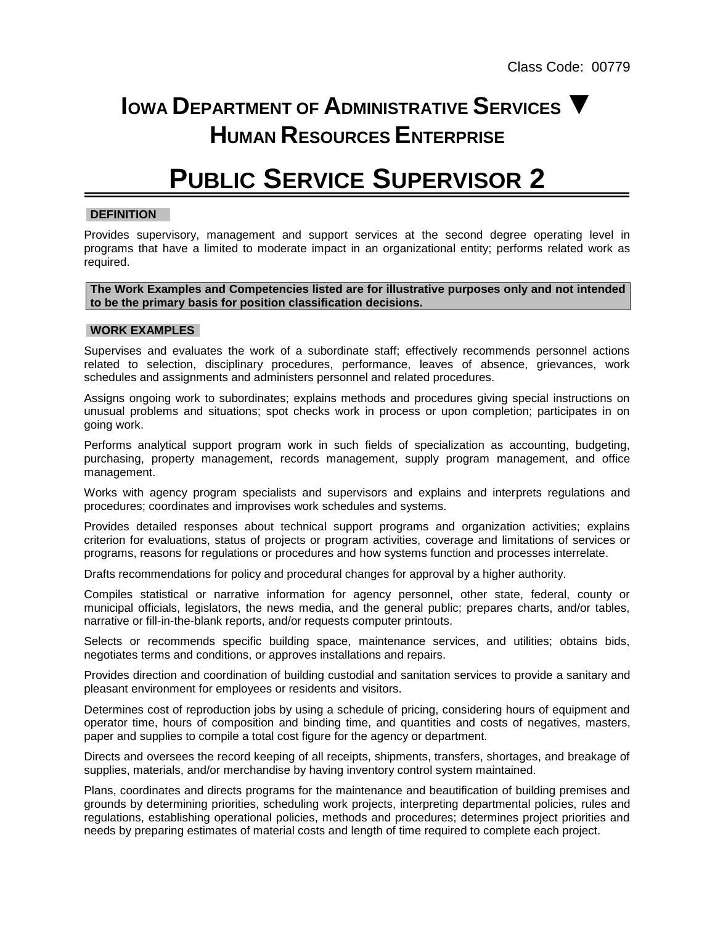## **IOWA DEPARTMENT OF ADMINISTRATIVE SERVICES ▼ HUMAN RESOURCES ENTERPRISE**

# **PUBLIC SERVICE SUPERVISOR 2**

## **DEFINITION**

Provides supervisory, management and support services at the second degree operating level in programs that have a limited to moderate impact in an organizational entity; performs related work as required.

**The Work Examples and Competencies listed are for illustrative purposes only and not intended to be the primary basis for position classification decisions.**

### **WORK EXAMPLES**

Supervises and evaluates the work of a subordinate staff; effectively recommends personnel actions related to selection, disciplinary procedures, performance, leaves of absence, grievances, work schedules and assignments and administers personnel and related procedures.

Assigns ongoing work to subordinates; explains methods and procedures giving special instructions on unusual problems and situations; spot checks work in process or upon completion; participates in on going work.

Performs analytical support program work in such fields of specialization as accounting, budgeting, purchasing, property management, records management, supply program management, and office management.

Works with agency program specialists and supervisors and explains and interprets regulations and procedures; coordinates and improvises work schedules and systems.

Provides detailed responses about technical support programs and organization activities; explains criterion for evaluations, status of projects or program activities, coverage and limitations of services or programs, reasons for regulations or procedures and how systems function and processes interrelate.

Drafts recommendations for policy and procedural changes for approval by a higher authority.

Compiles statistical or narrative information for agency personnel, other state, federal, county or municipal officials, legislators, the news media, and the general public; prepares charts, and/or tables, narrative or fill-in-the-blank reports, and/or requests computer printouts.

Selects or recommends specific building space, maintenance services, and utilities; obtains bids, negotiates terms and conditions, or approves installations and repairs.

Provides direction and coordination of building custodial and sanitation services to provide a sanitary and pleasant environment for employees or residents and visitors.

Determines cost of reproduction jobs by using a schedule of pricing, considering hours of equipment and operator time, hours of composition and binding time, and quantities and costs of negatives, masters, paper and supplies to compile a total cost figure for the agency or department.

Directs and oversees the record keeping of all receipts, shipments, transfers, shortages, and breakage of supplies, materials, and/or merchandise by having inventory control system maintained.

Plans, coordinates and directs programs for the maintenance and beautification of building premises and grounds by determining priorities, scheduling work projects, interpreting departmental policies, rules and regulations, establishing operational policies, methods and procedures; determines project priorities and needs by preparing estimates of material costs and length of time required to complete each project.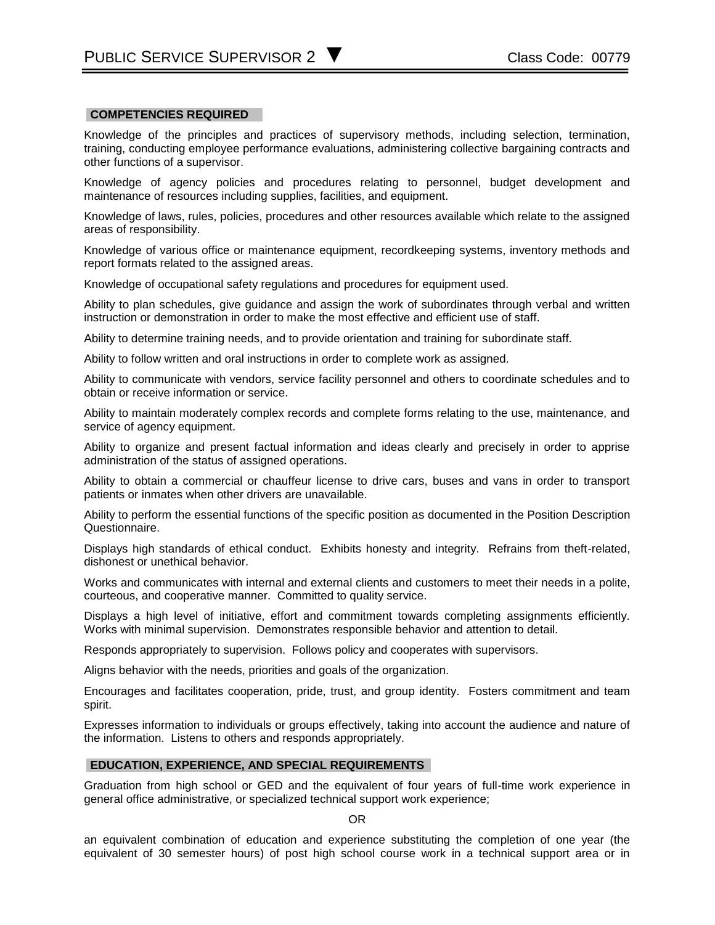#### **COMPETENCIES REQUIRED**

Knowledge of the principles and practices of supervisory methods, including selection, termination, training, conducting employee performance evaluations, administering collective bargaining contracts and other functions of a supervisor.

Knowledge of agency policies and procedures relating to personnel, budget development and maintenance of resources including supplies, facilities, and equipment.

Knowledge of laws, rules, policies, procedures and other resources available which relate to the assigned areas of responsibility.

Knowledge of various office or maintenance equipment, recordkeeping systems, inventory methods and report formats related to the assigned areas.

Knowledge of occupational safety regulations and procedures for equipment used.

Ability to plan schedules, give guidance and assign the work of subordinates through verbal and written instruction or demonstration in order to make the most effective and efficient use of staff.

Ability to determine training needs, and to provide orientation and training for subordinate staff.

Ability to follow written and oral instructions in order to complete work as assigned.

Ability to communicate with vendors, service facility personnel and others to coordinate schedules and to obtain or receive information or service.

Ability to maintain moderately complex records and complete forms relating to the use, maintenance, and service of agency equipment.

Ability to organize and present factual information and ideas clearly and precisely in order to apprise administration of the status of assigned operations.

Ability to obtain a commercial or chauffeur license to drive cars, buses and vans in order to transport patients or inmates when other drivers are unavailable.

Ability to perform the essential functions of the specific position as documented in the Position Description Questionnaire.

Displays high standards of ethical conduct. Exhibits honesty and integrity. Refrains from theft-related, dishonest or unethical behavior.

Works and communicates with internal and external clients and customers to meet their needs in a polite, courteous, and cooperative manner. Committed to quality service.

Displays a high level of initiative, effort and commitment towards completing assignments efficiently. Works with minimal supervision. Demonstrates responsible behavior and attention to detail.

Responds appropriately to supervision. Follows policy and cooperates with supervisors.

Aligns behavior with the needs, priorities and goals of the organization.

Encourages and facilitates cooperation, pride, trust, and group identity. Fosters commitment and team spirit.

Expresses information to individuals or groups effectively, taking into account the audience and nature of the information. Listens to others and responds appropriately.

#### **EDUCATION, EXPERIENCE, AND SPECIAL REQUIREMENTS**

Graduation from high school or GED and the equivalent of four years of full-time work experience in general office administrative, or specialized technical support work experience;

OR

an equivalent combination of education and experience substituting the completion of one year (the equivalent of 30 semester hours) of post high school course work in a technical support area or in